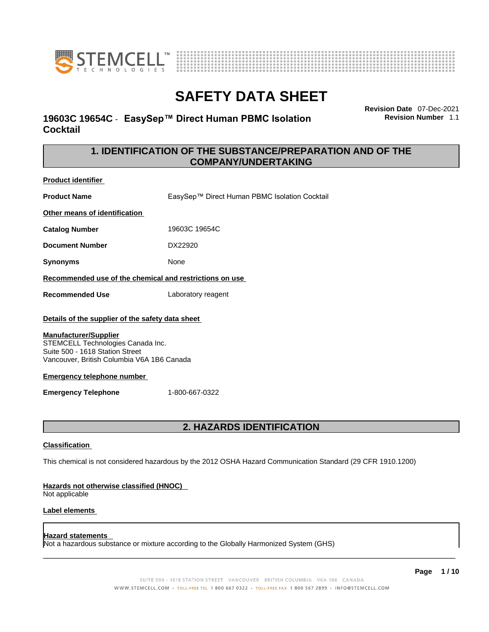



# **19603C 19654C** - **EasySep™ Direct Human PBMC Isolation Cocktail**

**Revision Date** 07-Dec-2021 **Revision Number** 1.1

# **1. IDENTIFICATION OF THE SUBSTANCE/PREPARATION AND OF THE COMPANY/UNDERTAKING**

**Product identifier**

**Product Name** EasySep™ Direct Human PBMC Isolation Cocktail

**Other means of identification**

**Catalog Number** 19603C 19654C

**Document Number** DX22920

**Synonyms** None

**Recommended use of the chemical and restrictions on use**

**Recommended Use** Laboratory reagent

### **Details of the supplier of the safety data sheet**

### **Manufacturer/Supplier**

STEMCELL Technologies Canada Inc. Suite 500 - 1618 Station Street Vancouver, British Columbia V6A 1B6 Canada

### **Emergency telephone number**

**Emergency Telephone** 1-800-667-0322

# **2. HAZARDS IDENTIFICATION**

### **Classification**

This chemical is not considered hazardous by the 2012 OSHA Hazard Communication Standard (29 CFR 1910.1200)

### **Hazards not otherwise classified (HNOC)**

Not applicable

### **Label elements**

### **Hazard statements**

Not a hazardous substance or mixture according to the Globally Harmonized System (GHS)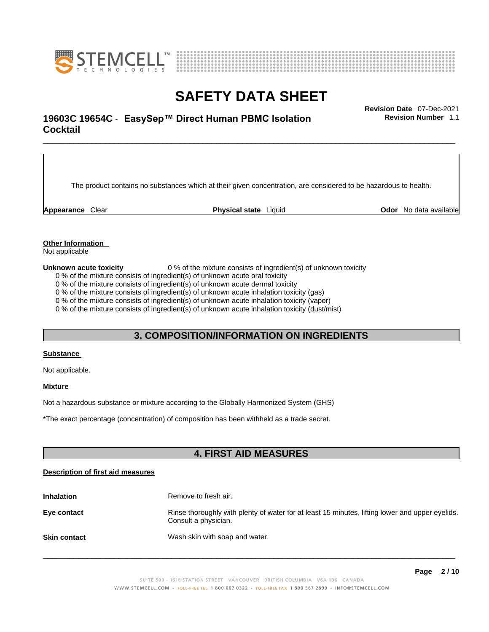



# \_\_\_\_\_\_\_\_\_\_\_\_\_\_\_\_\_\_\_\_\_\_\_\_\_\_\_\_\_\_\_\_\_\_\_\_\_\_\_\_\_\_\_\_\_\_\_\_\_\_\_\_\_\_\_\_\_\_\_\_\_\_\_\_\_\_\_\_\_\_\_\_\_\_\_\_\_\_\_\_\_\_\_\_\_\_\_\_\_\_\_\_\_ **Revision Date** 07-Dec-2021 **19603C 19654C** - **EasySep™ Direct Human PBMC Isolation Cocktail**

The product contains no substances which at their given concentration, are considered to be hazardous to health.

**Appearance** Clear **Physical state** Liquid **Odor** No data available

**Revision Number** 1.1

**Other Information** 

Not applicable

**Unknown acute toxicity** 0 % of the mixture consists of ingredient(s) of unknown toxicity

0 % of the mixture consists of ingredient(s) of unknown acute oral toxicity

0 % of the mixture consists of ingredient(s) of unknown acute dermal toxicity

0 % of the mixture consists of ingredient(s) of unknown acute inhalation toxicity (gas)

0 % of the mixture consists of ingredient(s) of unknown acute inhalation toxicity (vapor)

0 % of the mixture consists of ingredient(s) of unknown acute inhalation toxicity (dust/mist)

# **3. COMPOSITION/INFORMATION ON INGREDIENTS**

#### **Substance**

Not applicable.

### **Mixture**

Not a hazardous substance or mixture according to the Globally Harmonized System (GHS)

\*The exact percentage (concentration) ofcomposition has been withheld as a trade secret.

## **4. FIRST AID MEASURES**

### **Description of first aid measures**

| <b>Inhalation</b>   | Remove to fresh air.                                                                                                    |  |
|---------------------|-------------------------------------------------------------------------------------------------------------------------|--|
| Eye contact         | Rinse thoroughly with plenty of water for at least 15 minutes, lifting lower and upper eyelids.<br>Consult a physician. |  |
| <b>Skin contact</b> | Wash skin with soap and water.                                                                                          |  |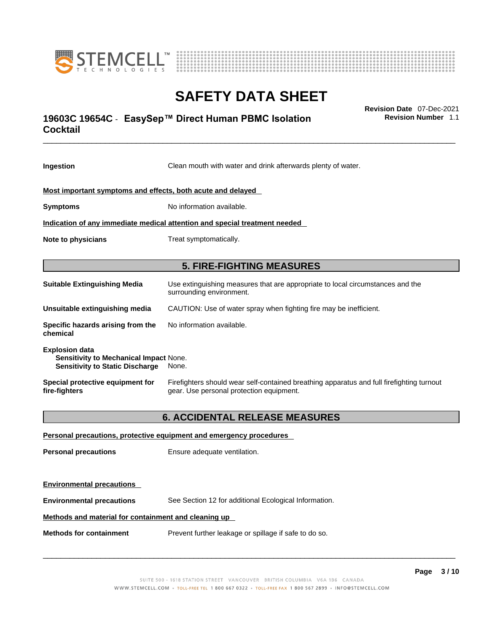



# \_\_\_\_\_\_\_\_\_\_\_\_\_\_\_\_\_\_\_\_\_\_\_\_\_\_\_\_\_\_\_\_\_\_\_\_\_\_\_\_\_\_\_\_\_\_\_\_\_\_\_\_\_\_\_\_\_\_\_\_\_\_\_\_\_\_\_\_\_\_\_\_\_\_\_\_\_\_\_\_\_\_\_\_\_\_\_\_\_\_\_\_\_ **Revision Date** 07-Dec-2021 **19603C 19654C** - **EasySep™ Direct Human PBMC Isolation Cocktail**

**Ingestion** Clean mouth with water and drink afterwards plenty of water. **Most important symptoms and effects, both acute and delayed Symptoms** No information available. **Indication of any immediate medical attention and special treatment needed Note to physicians** Treat symptomatically. **5. FIRE-FIGHTING MEASURES Suitable Extinguishing Media** Use extinguishing measures that are appropriate to local circumstances and the surrounding environment. **Unsuitable extinguishing media** CAUTION: Use of water spray when fighting fire may be inefficient. **Specific hazards arising from the chemical** No information available. **Explosion data Sensitivity to Mechanical Impact** None. **Sensitivity to Static Discharge** None. **Special protective equipment for fire-fighters** Firefighters should wear self-contained breathing apparatus and full firefighting turnout gear. Use personal protection equipment. **6. ACCIDENTAL RELEASE MEASURES Personal precautions, protective equipment and emergency procedures Personal precautions** Ensure adequate ventilation.

**Environmental precautions Environmental precautions** See Section 12 for additional Ecological Information.

### **Methods and material for containment and cleaning up**

**Methods for containment** Prevent further leakage or spillage if safe to do so.

 $\_$  ,  $\_$  ,  $\_$  ,  $\_$  ,  $\_$  ,  $\_$  ,  $\_$  ,  $\_$  ,  $\_$  ,  $\_$  ,  $\_$  ,  $\_$  ,  $\_$  ,  $\_$  ,  $\_$  ,  $\_$  ,  $\_$  ,  $\_$  ,  $\_$  ,  $\_$  ,  $\_$  ,  $\_$  ,  $\_$  ,  $\_$  ,  $\_$  ,  $\_$  ,  $\_$  ,  $\_$  ,  $\_$  ,  $\_$  ,  $\_$  ,  $\_$  ,  $\_$  ,  $\_$  ,  $\_$  ,  $\_$  ,  $\_$  ,

**Revision Number** 1.1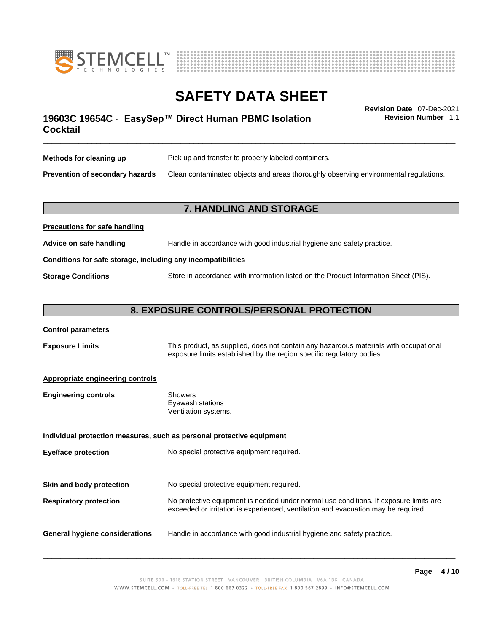



\_\_\_\_\_\_\_\_\_\_\_\_\_\_\_\_\_\_\_\_\_\_\_\_\_\_\_\_\_\_\_\_\_\_\_\_\_\_\_\_\_\_\_\_\_\_\_\_\_\_\_\_\_\_\_\_\_\_\_\_\_\_\_\_\_\_\_\_\_\_\_\_\_\_\_\_\_\_\_\_\_\_\_\_\_\_\_\_\_\_\_\_\_ **Revision Date** 07-Dec-2021 **19603C 19654C** - **EasySep™ Direct Human PBMC Isolation Cocktail** 

**Revision Number** 1.1

| Methods for cleaning up                | Pick up and transfer to properly labeled containers.                                 |  |
|----------------------------------------|--------------------------------------------------------------------------------------|--|
| <b>Prevention of secondary hazards</b> | Clean contaminated objects and areas thoroughly observing environmental regulations. |  |

# **7. HANDLING AND STORAGE**

| Advice on safe handling                                      | Handle in accordance with good industrial hygiene and safety practice.              |  |
|--------------------------------------------------------------|-------------------------------------------------------------------------------------|--|
| Conditions for safe storage, including any incompatibilities |                                                                                     |  |
| <b>Storage Conditions</b>                                    | Store in accordance with information listed on the Product Information Sheet (PIS). |  |

### **8. EXPOSURE CONTROLS/PERSONAL PROTECTION**

### **Control parameters**

**Precautions for safe handling**

**Exposure Limits** This product, as supplied, does not contain any hazardous materials with occupational exposure limits established by the region specific regulatory bodies.

### **Appropriate engineering controls**

| Showers              |
|----------------------|
| Eyewash stations     |
| Ventilation systems. |
|                      |

**Individual protection measures, such as personal protective equipment Eye/face protection** No special protective equipment required. **Skin and body protection** No special protective equipment required. **Respiratory protection** No protective equipment is needed under normal use conditions. If exposure limits are exceeded or irritation is experienced, ventilation and evacuation may be required. **General hygiene considerations** Handle in accordance with good industrial hygiene and safety practice.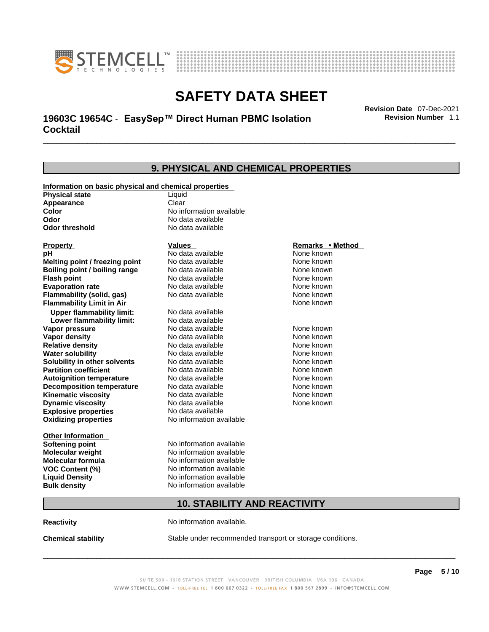



# \_\_\_\_\_\_\_\_\_\_\_\_\_\_\_\_\_\_\_\_\_\_\_\_\_\_\_\_\_\_\_\_\_\_\_\_\_\_\_\_\_\_\_\_\_\_\_\_\_\_\_\_\_\_\_\_\_\_\_\_\_\_\_\_\_\_\_\_\_\_\_\_\_\_\_\_\_\_\_\_\_\_\_\_\_\_\_\_\_\_\_\_\_ **Revision Date** 07-Dec-2021 **19603C 19654C** - **EasySep™ Direct Human PBMC Isolation Cocktail**

**9. PHYSICAL AND CHEMICAL PROPERTIES Information on basic physical and chemical properties Physical state** Liquid **Appearance** Clear<br> **Color** No int **Color Color Color Color Color Color Color No** data available **Odor Odor Constanting Codor Constanting Codor Codor Codor Codor Codor Codor Codor Codor Codor Codor Codor Codor Codor Codor Codor Codor Codor Codor Codor Codor Codor Codor Codor No data available Explosive properties** No data available **Oxidizing properties** No information available **Other Information Softening point** No information available **Molecular weight** No information available **Molecular formula** No information available<br>**VOC Content (%)** No information available **VOC Content (%) Liquid Density** No information available **Bulk density No information available 10. STABILITY AND REACTIVITY Property CONSCRUTE IN THE VALUES REMARKS • Method pH** No data available None known **Melting point / freezing point Boiling point / boiling range No data available None known Flash point Communist Communist Communist Communist Communist Communist Communist Communist Communist Communist Communist Communist Communist Communist Communist Communist Communist Communist Communist Communist Communi Evaporation rate Reserve ACC** No data available **None known** None known **Flammability (solid, gas)** No data available None known **Flammability Limit in Air None known None known Upper flammability limit:** No data available **Lower flammability limit:** No data available **Vapor pressure No data available None known Vapor density No data available None known Relative density No data available None known** None known **Water solubility No data available** Mome known<br> **Solubility in other solvents** No data available **None known**<br>
None known **Solubility in other solvents** No data available **None known**<br> **Partition coefficient** No data available None known **Partition coefficient**<br> **Autoignition temperature**<br>
No data available **Autoignition temperature** No data available **None known**<br> **Decomposition temperature** No data available None known **Decomposition temperature** No data available None known<br> **Kinematic viscosity** No data available None known **Kinematic viscosity** No data available<br> **Dynamic viscosity** No data available **Dynamic viscosity** None known

**Reactivity No information available.** 

**Chemical stability** Stable under recommended transport or storage conditions.

 $\_$  ,  $\_$  ,  $\_$  ,  $\_$  ,  $\_$  ,  $\_$  ,  $\_$  ,  $\_$  ,  $\_$  ,  $\_$  ,  $\_$  ,  $\_$  ,  $\_$  ,  $\_$  ,  $\_$  ,  $\_$  ,  $\_$  ,  $\_$  ,  $\_$  ,  $\_$  ,  $\_$  ,  $\_$  ,  $\_$  ,  $\_$  ,  $\_$  ,  $\_$  ,  $\_$  ,  $\_$  ,  $\_$  ,  $\_$  ,  $\_$  ,  $\_$  ,  $\_$  ,  $\_$  ,  $\_$  ,  $\_$  ,  $\_$  ,

**Revision Number** 1.1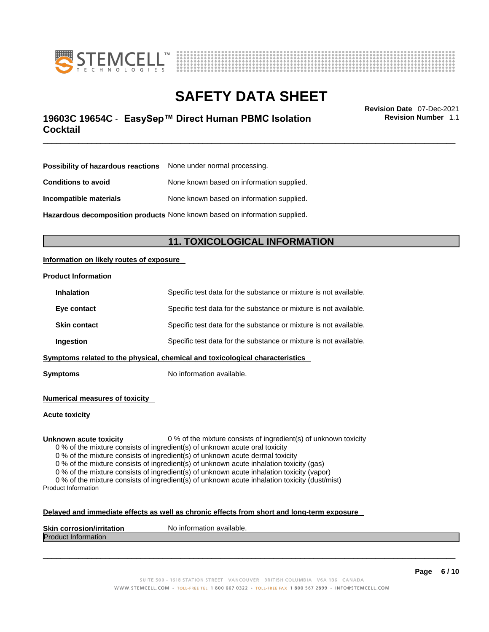



# \_\_\_\_\_\_\_\_\_\_\_\_\_\_\_\_\_\_\_\_\_\_\_\_\_\_\_\_\_\_\_\_\_\_\_\_\_\_\_\_\_\_\_\_\_\_\_\_\_\_\_\_\_\_\_\_\_\_\_\_\_\_\_\_\_\_\_\_\_\_\_\_\_\_\_\_\_\_\_\_\_\_\_\_\_\_\_\_\_\_\_\_\_ **Revision Date** 07-Dec-2021 **19603C 19654C** - **EasySep™ Direct Human PBMC Isolation Cocktail**

**Revision Number** 1.1

| <b>Possibility of hazardous reactions</b> None under normal processing.    |                                           |  |
|----------------------------------------------------------------------------|-------------------------------------------|--|
| <b>Conditions to avoid</b>                                                 | None known based on information supplied. |  |
| Incompatible materials                                                     | None known based on information supplied. |  |
| Hazardous decomposition products None known based on information supplied. |                                           |  |

# **11. TOXICOLOGICAL INFORMATION**

### **Information on likely routes of exposure**

### **Product Information**

|                                                                                        | Ingestion                                                                        | Specific test data for the substance or mixture is not available. |
|----------------------------------------------------------------------------------------|----------------------------------------------------------------------------------|-------------------------------------------------------------------|
|                                                                                        | <b>Skin contact</b>                                                              | Specific test data for the substance or mixture is not available. |
|                                                                                        | Specific test data for the substance or mixture is not available.<br>Eye contact |                                                                   |
| Specific test data for the substance or mixture is not available.<br><b>Inhalation</b> |                                                                                  |                                                                   |

**Symptoms** No information available.

**Numerical measures of toxicity**

**Acute toxicity**

**Unknown acute toxicity** 0 % of the mixture consists of ingredient(s) of unknown toxicity

0 % of the mixture consists of ingredient(s) of unknown acute oral toxicity

0 % of the mixture consists of ingredient(s) of unknown acute dermal toxicity

0 % of the mixture consists of ingredient(s) of unknown acute inhalation toxicity (gas)

0 % of the mixture consists of ingredient(s) of unknown acute inhalation toxicity (vapor)

0 % of the mixture consists of ingredient(s) of unknown acute inhalation toxicity (dust/mist) Product Information

### **Delayed and immediate effects as well as chronic effects from short and long-term exposure**

| <b>Skin</b><br>ion/irritation<br>ı corrosior | No information available. |
|----------------------------------------------|---------------------------|
| <b>IProdi</b><br><b>Information</b><br>ucu.  |                           |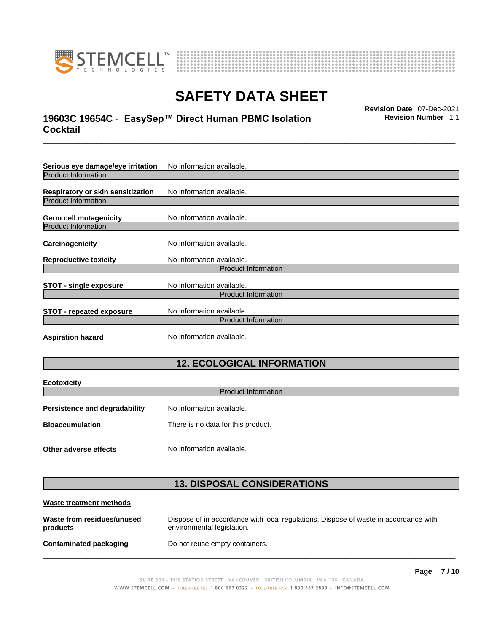



# \_\_\_\_\_\_\_\_\_\_\_\_\_\_\_\_\_\_\_\_\_\_\_\_\_\_\_\_\_\_\_\_\_\_\_\_\_\_\_\_\_\_\_\_\_\_\_\_\_\_\_\_\_\_\_\_\_\_\_\_\_\_\_\_\_\_\_\_\_\_\_\_\_\_\_\_\_\_\_\_\_\_\_\_\_\_\_\_\_\_\_\_\_ **Revision Date** 07-Dec-2021 **19603C 19654C** - **EasySep™ Direct Human PBMC Isolation Cocktail**

**Revision Number** 1.1

| Serious eye damage/eye irritation | No information available. |  |
|-----------------------------------|---------------------------|--|
| <b>Product Information</b>        |                           |  |
| Respiratory or skin sensitization | No information available. |  |
| <b>Product Information</b>        |                           |  |
| Germ cell mutagenicity            | No information available. |  |
| <b>Product Information</b>        |                           |  |
| Carcinogenicity                   | No information available. |  |
| <b>Reproductive toxicity</b>      | No information available. |  |
| <b>Product Information</b>        |                           |  |
| STOT - single exposure            | No information available. |  |
| <b>Product Information</b>        |                           |  |
| <b>STOT - repeated exposure</b>   | No information available. |  |
| <b>Product Information</b>        |                           |  |
| <b>Aspiration hazard</b>          | No information available. |  |

# **12. ECOLOGICAL INFORMATION**

| <b>Ecotoxicity</b>                                           |                           |  |
|--------------------------------------------------------------|---------------------------|--|
| Product Information                                          |                           |  |
| <b>Persistence and degradability</b>                         | No information available. |  |
| <b>Bioaccumulation</b><br>There is no data for this product. |                           |  |
|                                                              |                           |  |
| Other adverse effects                                        | No information available. |  |

# **13. DISPOSAL CONSIDERATIONS**

| Waste treatment methods                |                                                                                                                    |  |
|----------------------------------------|--------------------------------------------------------------------------------------------------------------------|--|
| Waste from residues/unused<br>products | Dispose of in accordance with local regulations. Dispose of waste in accordance with<br>environmental legislation. |  |
| Contaminated packaging                 | Do not reuse empty containers.                                                                                     |  |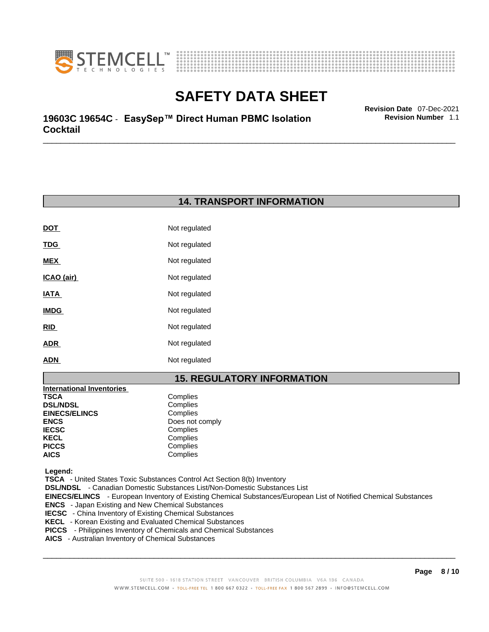



\_\_\_\_\_\_\_\_\_\_\_\_\_\_\_\_\_\_\_\_\_\_\_\_\_\_\_\_\_\_\_\_\_\_\_\_\_\_\_\_\_\_\_\_\_\_\_\_\_\_\_\_\_\_\_\_\_\_\_\_\_\_\_\_\_\_\_\_\_\_\_\_\_\_\_\_\_\_\_\_\_\_\_\_\_\_\_\_\_\_\_\_\_ **Revision Date** 07-Dec-2021 **19603C 19654C** - **EasySep™ Direct Human PBMC Isolation Cocktail** 

**Revision Number** 1.1

# **14. TRANSPORT INFORMATION**

| Not regulated |
|---------------|
| Not regulated |
| Not regulated |
| Not regulated |
| Not regulated |
| Not regulated |
| Not regulated |
| Not regulated |
| Not regulated |
|               |

# **15. REGULATORY INFORMATION**

| <b>International Inventories</b> |                 |
|----------------------------------|-----------------|
| TSCA                             | Complies        |
| <b>DSL/NDSL</b>                  | Complies        |
| <b>EINECS/ELINCS</b>             | Complies        |
| ENCS                             | Does not comply |
| <b>IECSC</b>                     | Complies        |
| KECL                             | Complies        |
| PICCS                            | Complies        |
| AICS                             | Complies        |
|                                  |                 |

 **Legend:** 

 **TSCA** - United States Toxic Substances Control Act Section 8(b) Inventory

 **DSL/NDSL** - Canadian Domestic Substances List/Non-Domestic Substances List

 **EINECS/ELINCS** - European Inventory of Existing Chemical Substances/European List of Notified Chemical Substances

- **ENCS**  Japan Existing and New Chemical Substances
- **IECSC**  China Inventory of Existing Chemical Substances
- **KECL**  Korean Existing and Evaluated Chemical Substances
- **PICCS**  Philippines Inventory of Chemicals and Chemical Substances
- **AICS**  Australian Inventory of Chemical Substances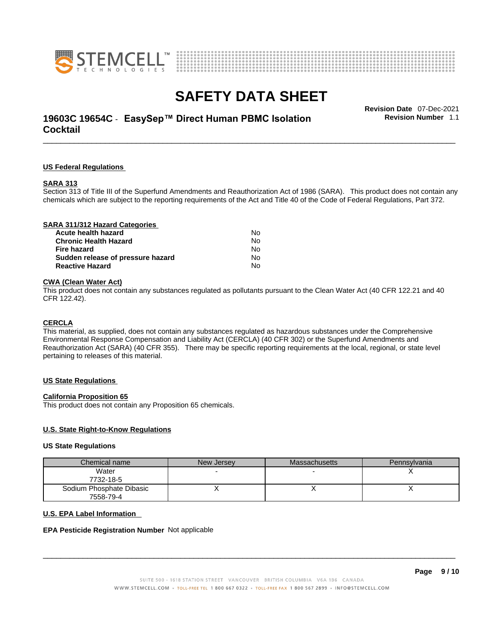



# \_\_\_\_\_\_\_\_\_\_\_\_\_\_\_\_\_\_\_\_\_\_\_\_\_\_\_\_\_\_\_\_\_\_\_\_\_\_\_\_\_\_\_\_\_\_\_\_\_\_\_\_\_\_\_\_\_\_\_\_\_\_\_\_\_\_\_\_\_\_\_\_\_\_\_\_\_\_\_\_\_\_\_\_\_\_\_\_\_\_\_\_\_ **Revision Date** 07-Dec-2021 **19603C 19654C** - **EasySep™ Direct Human PBMC Isolation Cocktail**

**US Federal Regulations**

#### **SARA 313**

Section 313 of Title III of the Superfund Amendments and Reauthorization Act of 1986 (SARA). This product does not contain any chemicals which are subject to the reporting requirements of the Act and Title 40 of the Code of Federal Regulations, Part 372.

### **CWA** (Clean Water Act)

This product does not contain any substances regulated as pollutants pursuant to the Clean Water Act (40 CFR 122.21 and 40 CFR 122.42).

#### **CERCLA**

This material, as supplied, does not contain any substances regulated as hazardous substances under the Comprehensive Environmental Response Compensation and Liability Act (CERCLA) (40 CFR 302) or the Superfund Amendments and Reauthorization Act (SARA) (40 CFR 355). There may be specific reporting requirements at the local, regional, or state level pertaining to releases of this material.

#### **US State Regulations**

#### **California Proposition 65**

This product does not contain any Proposition 65 chemicals.

### **U.S. State Right-to-Know Regulations**

#### **US State Regulations**

| Chemical name            | New Jersey | <b>Massachusetts</b> | Pennsylvania |
|--------------------------|------------|----------------------|--------------|
| Water                    |            |                      |              |
| 7732-18-5                |            |                      |              |
| Sodium Phosphate Dibasic |            |                      |              |
| 7558-79-4                |            |                      |              |

#### **U.S. EPA Label Information**

#### **EPA Pesticide Registration Number** Not applicable

 $\_$  ,  $\_$  ,  $\_$  ,  $\_$  ,  $\_$  ,  $\_$  ,  $\_$  ,  $\_$  ,  $\_$  ,  $\_$  ,  $\_$  ,  $\_$  ,  $\_$  ,  $\_$  ,  $\_$  ,  $\_$  ,  $\_$  ,  $\_$  ,  $\_$  ,  $\_$  ,  $\_$  ,  $\_$  ,  $\_$  ,  $\_$  ,  $\_$  ,  $\_$  ,  $\_$  ,  $\_$  ,  $\_$  ,  $\_$  ,  $\_$  ,  $\_$  ,  $\_$  ,  $\_$  ,  $\_$  ,  $\_$  ,  $\_$  ,

**Revision Number** 1.1